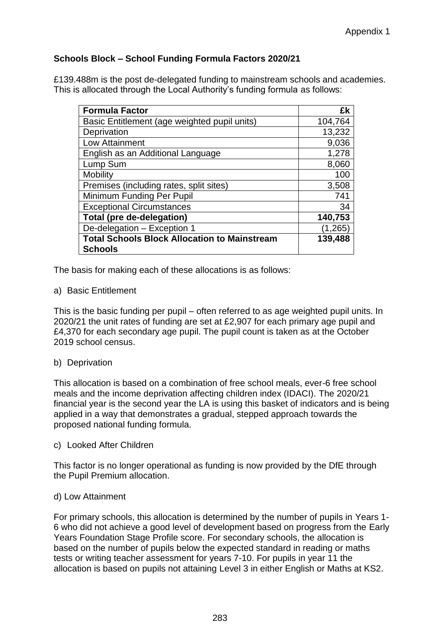# **Schools Block – School Funding Formula Factors 2020/21**

£139.488m is the post de-delegated funding to mainstream schools and academies. This is allocated through the Local Authority's funding formula as follows:

| <b>Formula Factor</b>                               | £k      |
|-----------------------------------------------------|---------|
| Basic Entitlement (age weighted pupil units)        | 104,764 |
| Deprivation                                         | 13,232  |
| Low Attainment                                      | 9,036   |
| English as an Additional Language                   | 1,278   |
| Lump Sum                                            | 8,060   |
| Mobility                                            | 100     |
| Premises (including rates, split sites)             | 3,508   |
| Minimum Funding Per Pupil                           | 741     |
| <b>Exceptional Circumstances</b>                    | 34      |
| <b>Total (pre de-delegation)</b>                    | 140,753 |
| De-delegation - Exception 1                         | (1,265) |
| <b>Total Schools Block Allocation to Mainstream</b> | 139,488 |
| <b>Schools</b>                                      |         |

The basis for making each of these allocations is as follows:

a) Basic Entitlement

This is the basic funding per pupil – often referred to as age weighted pupil units. In 2020/21 the unit rates of funding are set at £2,907 for each primary age pupil and £4,370 for each secondary age pupil. The pupil count is taken as at the October 2019 school census.

## b) Deprivation

This allocation is based on a combination of free school meals, ever-6 free school meals and the income deprivation affecting children index (IDACI). The 2020/21 financial year is the second year the LA is using this basket of indicators and is being applied in a way that demonstrates a gradual, stepped approach towards the proposed national funding formula.

c) Looked After Children

This factor is no longer operational as funding is now provided by the DfE through the Pupil Premium allocation.

## d) Low Attainment

For primary schools, this allocation is determined by the number of pupils in Years 1- 6 who did not achieve a good level of development based on progress from the Early Years Foundation Stage Profile score. For secondary schools, the allocation is based on the number of pupils below the expected standard in reading or maths tests or writing teacher assessment for years 7-10. For pupils in year 11 the allocation is based on pupils not attaining Level 3 in either English or Maths at KS2.